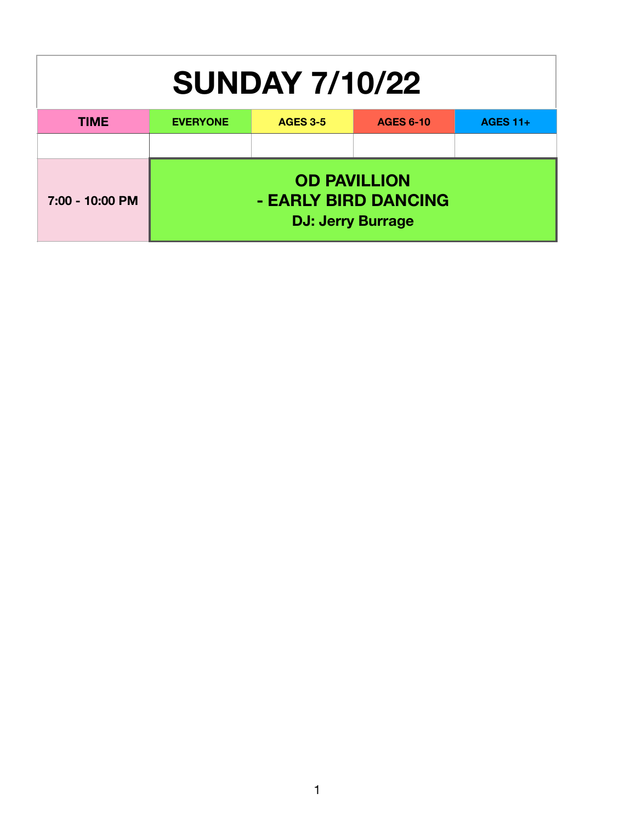| <b>SUNDAY 7/10/22</b> |                 |                                                                         |                  |                 |  |
|-----------------------|-----------------|-------------------------------------------------------------------------|------------------|-----------------|--|
| <b>TIME</b>           | <b>EVERYONE</b> | <b>AGES 3-5</b>                                                         | <b>AGES 6-10</b> | <b>AGES 11+</b> |  |
|                       |                 |                                                                         |                  |                 |  |
| 7:00 - 10:00 PM       |                 | <b>OD PAVILLION</b><br>- EARLY BIRD DANCING<br><b>DJ: Jerry Burrage</b> |                  |                 |  |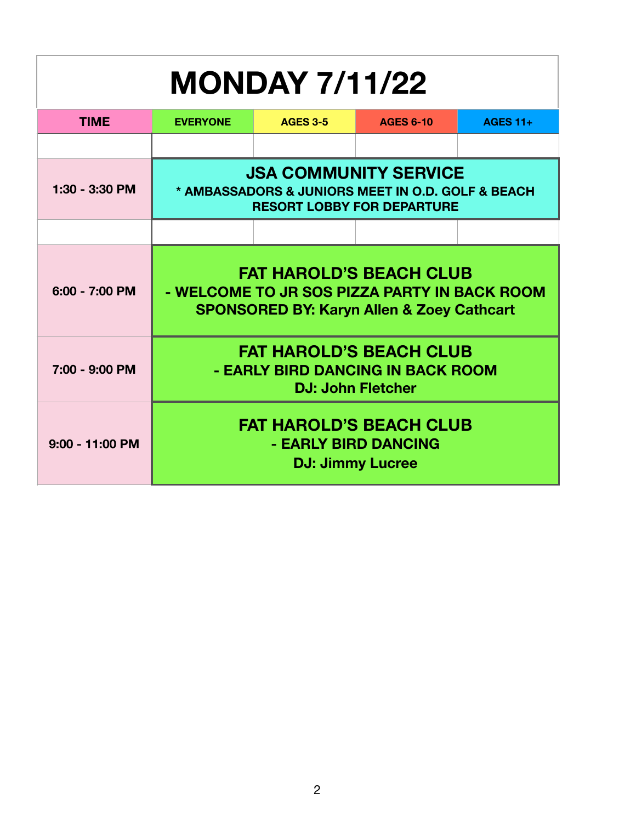## **MONDAY 7/11/22 TIME EVERYONE AGES 3-5 AGES 6-10 AGES 11+ 1:30 - 3:30 PM JSA COMMUNITY SERVICE \* AMBASSADORS & JUNIORS MEET IN O.D. GOLF & BEACH RESORT LOBBY FOR DEPARTURE 6:00 - 7:00 PM FAT HAROLD'S BEACH CLUB - WELCOME TO JR SOS PIZZA PARTY IN BACK ROOM SPONSORED BY: Karyn Allen & Zoey Cathcart 7:00 - 9:00 PM FAT HAROLD'S BEACH CLUB - EARLY BIRD DANCING IN BACK ROOM DJ: John Fletcher 9:00 - 11:00 PM FAT HAROLD'S BEACH CLUB - EARLY BIRD DANCING DJ: Jimmy Lucree**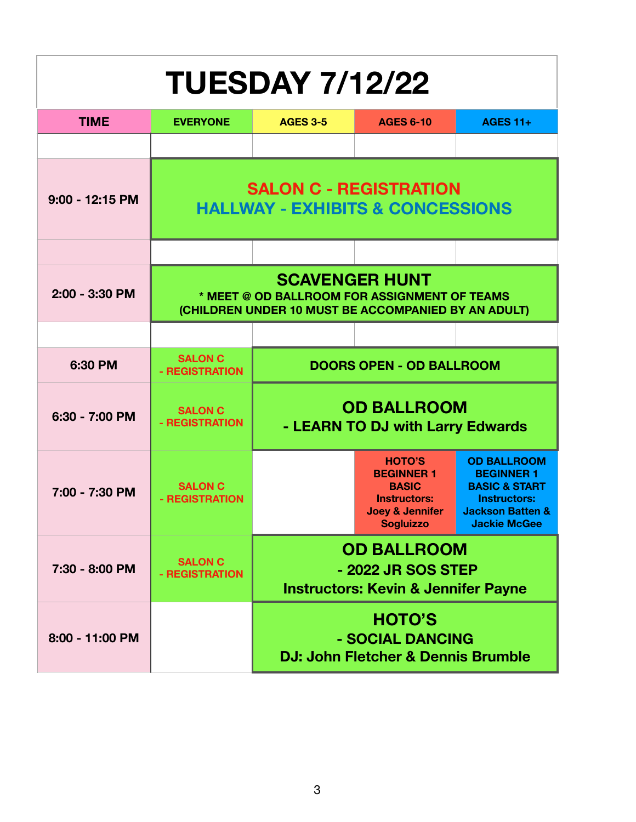| <b>TUESDAY 7/12/22</b> |                                                                                                                              |                                                                                            |                                                                                                                             |                                                                                                                                                  |  |  |  |
|------------------------|------------------------------------------------------------------------------------------------------------------------------|--------------------------------------------------------------------------------------------|-----------------------------------------------------------------------------------------------------------------------------|--------------------------------------------------------------------------------------------------------------------------------------------------|--|--|--|
| <b>TIME</b>            | <b>EVERYONE</b>                                                                                                              | <b>AGES 3-5</b><br><b>AGES 6-10</b><br><b>AGES 11+</b>                                     |                                                                                                                             |                                                                                                                                                  |  |  |  |
|                        |                                                                                                                              |                                                                                            |                                                                                                                             |                                                                                                                                                  |  |  |  |
| 9:00 - 12:15 PM        | <b>SALON C - REGISTRATION</b><br><b>HALLWAY - EXHIBITS &amp; CONCESSIONS</b>                                                 |                                                                                            |                                                                                                                             |                                                                                                                                                  |  |  |  |
|                        |                                                                                                                              |                                                                                            |                                                                                                                             |                                                                                                                                                  |  |  |  |
| 2:00 - 3:30 PM         | <b>SCAVENGER HUNT</b><br>* MEET @ OD BALLROOM FOR ASSIGNMENT OF TEAMS<br>(CHILDREN UNDER 10 MUST BE ACCOMPANIED BY AN ADULT) |                                                                                            |                                                                                                                             |                                                                                                                                                  |  |  |  |
|                        |                                                                                                                              |                                                                                            |                                                                                                                             |                                                                                                                                                  |  |  |  |
| 6:30 PM                | <b>SALON C</b><br>- REGISTRATION                                                                                             |                                                                                            | <b>DOORS OPEN - OD BALLROOM</b>                                                                                             |                                                                                                                                                  |  |  |  |
| 6:30 - 7:00 PM         | <b>SALON C</b><br>- REGISTRATION                                                                                             | <b>OD BALLROOM</b><br>- LEARN TO DJ with Larry Edwards                                     |                                                                                                                             |                                                                                                                                                  |  |  |  |
| 7:00 - 7:30 PM         | <b>SALON C</b><br>- REGISTRATION                                                                                             |                                                                                            | <b>HOTO'S</b><br><b>BEGINNER 1</b><br><b>BASIC</b><br><b>Instructors:</b><br><b>Joey &amp; Jennifer</b><br><b>Sogluizzo</b> | <b>OD BALLROOM</b><br><b>BEGINNER 1</b><br><b>BASIC &amp; START</b><br><b>Instructors:</b><br><b>Jackson Batten &amp;</b><br><b>Jackie McGee</b> |  |  |  |
| 7:30 - 8:00 PM         | <b>SALON C</b><br>- REGISTRATION                                                                                             | <b>OD BALLROOM</b><br>- 2022 JR SOS STEP<br><b>Instructors: Kevin &amp; Jennifer Payne</b> |                                                                                                                             |                                                                                                                                                  |  |  |  |
| 8:00 - 11:00 PM        |                                                                                                                              | <b>HOTO'S</b><br>- SOCIAL DANCING<br>DJ: John Fletcher & Dennis Brumble                    |                                                                                                                             |                                                                                                                                                  |  |  |  |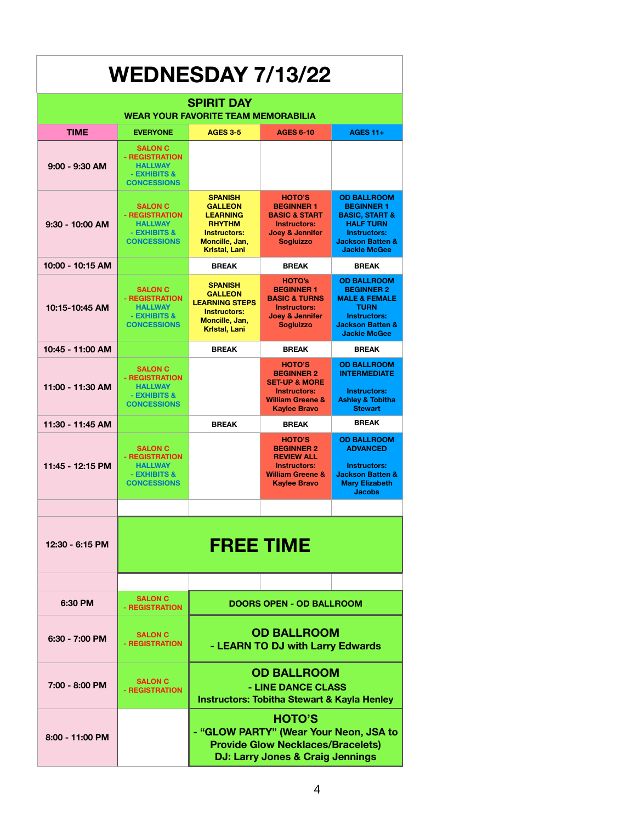| <b>WEDNESDAY 7/13/22</b>                                        |                                                                                          |                                                                                                                                                    |                                                                                                                                         |                                                                                                                                                                |
|-----------------------------------------------------------------|------------------------------------------------------------------------------------------|----------------------------------------------------------------------------------------------------------------------------------------------------|-----------------------------------------------------------------------------------------------------------------------------------------|----------------------------------------------------------------------------------------------------------------------------------------------------------------|
| <b>SPIRIT DAY</b><br><b>WEAR YOUR FAVORITE TEAM MEMORABILIA</b> |                                                                                          |                                                                                                                                                    |                                                                                                                                         |                                                                                                                                                                |
| <b>TIME</b>                                                     | <b>EVERYONE</b>                                                                          | <b>AGES 3-5</b>                                                                                                                                    | <b>AGES 6-10</b>                                                                                                                        | <b>AGES 11+</b>                                                                                                                                                |
| $9:00 - 9:30$ AM                                                | <b>SALON C</b><br>- REGISTRATION<br><b>HALLWAY</b><br>- EXHIBITS &<br><b>CONCESSIONS</b> |                                                                                                                                                    |                                                                                                                                         |                                                                                                                                                                |
| $9:30 - 10:00$ AM                                               | <b>SALON C</b><br>- REGISTRATION<br><b>HALLWAY</b><br>- EXHIBITS &<br><b>CONCESSIONS</b> | <b>SPANISH</b><br><b>GALLEON</b><br><b>LEARNING</b><br><b>RHYTHM</b><br>Instructors:<br>Moncille, Jan,<br>Kristal, Lani                            | <b>HOTO'S</b><br><b>BEGINNER 1</b><br><b>BASIC &amp; START</b><br>Instructors:<br>Joey & Jennifer<br><b>Sogluizzo</b>                   | <b>OD BALLROOM</b><br><b>BEGINNER 1</b><br><b>BASIC, START &amp;</b><br><b>HALF TURN</b><br>Instructors:<br><b>Jackson Batten &amp;</b><br><b>Jackie McGee</b> |
| 10:00 - 10:15 AM                                                |                                                                                          | <b>BREAK</b>                                                                                                                                       | <b>BREAK</b>                                                                                                                            | <b>BREAK</b>                                                                                                                                                   |
| 10:15-10:45 AM                                                  | <b>SALON C</b><br>- REGISTRATION<br><b>HALLWAY</b><br>- EXHIBITS &<br><b>CONCESSIONS</b> | <b>SPANISH</b><br><b>GALLEON</b><br><b>LEARNING STEPS</b><br><b>Instructors:</b><br>Moncille, Jan,<br><b>Kristal, Lani</b>                         | <b>HOTO's</b><br><b>BEGINNER 1</b><br><b>BASIC &amp; TURNS</b><br><b>Instructors:</b><br><b>Joey &amp; Jennifer</b><br><b>Sogluizzo</b> | <b>OD BALLROOM</b><br><b>BEGINNER 2</b><br><b>MALE &amp; FEMALE</b><br><b>TURN</b><br>Instructors:<br><b>Jackson Batten &amp;</b><br><b>Jackie McGee</b>       |
| 10:45 - 11:00 AM                                                |                                                                                          | <b>BREAK</b>                                                                                                                                       | <b>BREAK</b>                                                                                                                            | <b>BREAK</b>                                                                                                                                                   |
| 11:00 - 11:30 AM                                                | <b>SALON C</b><br>- REGISTRATION<br><b>HALLWAY</b><br>- EXHIBITS &<br><b>CONCESSIONS</b> |                                                                                                                                                    | <b>HOTO'S</b><br><b>BEGINNER 2</b><br><b>SET-UP &amp; MORE</b><br>Instructors:<br><b>William Greene &amp;</b><br><b>Kaylee Bravo</b>    | <b>OD BALLROOM</b><br><b>INTERMEDIATE</b><br>Instructors:<br><b>Ashley &amp; Tobitha</b><br><b>Stewart</b>                                                     |
| 11:30 - 11:45 AM                                                |                                                                                          | <b>BREAK</b>                                                                                                                                       | <b>BREAK</b>                                                                                                                            | <b>BREAK</b>                                                                                                                                                   |
| 11:45 - 12:15 PM                                                | <b>SALON C</b><br>- REGISTRATION<br><b>HALLWAY</b><br>- EXHIBITS &<br><b>CONCESSIONS</b> |                                                                                                                                                    | <b>HOTO'S</b><br><b>BEGINNER 2</b><br><b>REVIEW ALL</b><br>Instructors:<br><b>William Greene &amp;</b><br><b>Kaylee Bravo</b>           | <b>OD BALLROOM</b><br><b>ADVANCED</b><br>Instructors:<br><b>Jackson Batten &amp;</b><br><b>Mary Elizabeth</b><br><b>Jacobs</b>                                 |
|                                                                 |                                                                                          |                                                                                                                                                    |                                                                                                                                         |                                                                                                                                                                |
| 12:30 - 6:15 PM                                                 | <b>FREE TIME</b>                                                                         |                                                                                                                                                    |                                                                                                                                         |                                                                                                                                                                |
|                                                                 |                                                                                          |                                                                                                                                                    |                                                                                                                                         |                                                                                                                                                                |
| 6:30 PM                                                         | <b>SALON C</b><br>- REGISTRATION                                                         |                                                                                                                                                    | <b>DOORS OPEN - OD BALLROOM</b>                                                                                                         |                                                                                                                                                                |
| $6:30 - 7:00$ PM                                                | <b>SALON C</b><br>- REGISTRATION                                                         | <b>OD BALLROOM</b><br>- LEARN TO DJ with Larry Edwards                                                                                             |                                                                                                                                         |                                                                                                                                                                |
| 7:00 - 8:00 PM                                                  | <b>SALON C</b><br>- REGISTRATION                                                         | <b>OD BALLROOM</b><br>- LINE DANCE CLASS<br><b>Instructors: Tobitha Stewart &amp; Kayla Henley</b>                                                 |                                                                                                                                         |                                                                                                                                                                |
| 8:00 - 11:00 PM                                                 |                                                                                          | <b>HOTO'S</b><br>- "GLOW PARTY" (Wear Your Neon, JSA to<br><b>Provide Glow Necklaces/Bracelets)</b><br><b>DJ: Larry Jones &amp; Craig Jennings</b> |                                                                                                                                         |                                                                                                                                                                |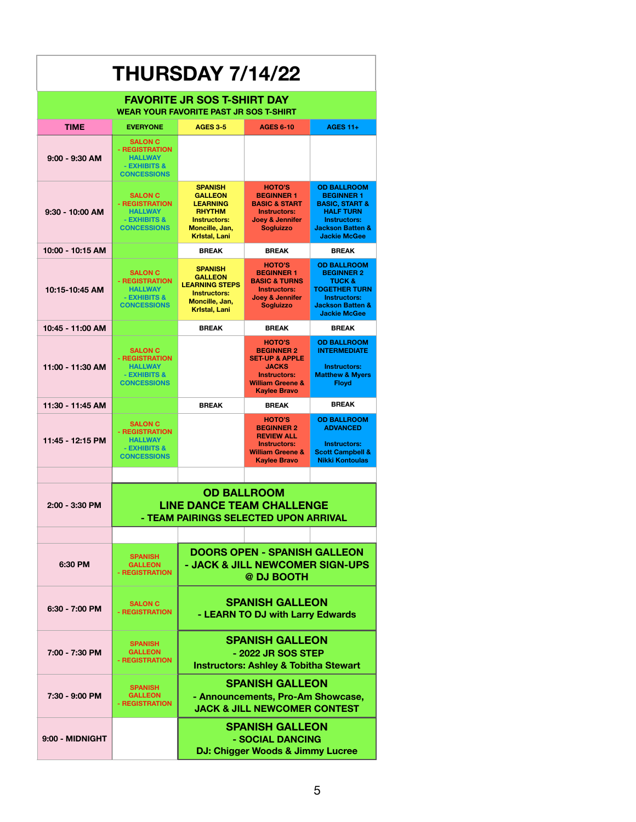| <b>THURSDAY 7/14/22</b>            |                                                                                                  |                                                                                                                                       |                                                                                                                                                              |                                                                                                                                                                       |
|------------------------------------|--------------------------------------------------------------------------------------------------|---------------------------------------------------------------------------------------------------------------------------------------|--------------------------------------------------------------------------------------------------------------------------------------------------------------|-----------------------------------------------------------------------------------------------------------------------------------------------------------------------|
| <b>FAVORITE JR SOS T-SHIRT DAY</b> |                                                                                                  |                                                                                                                                       |                                                                                                                                                              |                                                                                                                                                                       |
|                                    |                                                                                                  | <b>WEAR YOUR FAVORITE PAST JR SOS T-SHIRT</b>                                                                                         |                                                                                                                                                              |                                                                                                                                                                       |
| <b>TIME</b>                        | <b>EVERYONE</b>                                                                                  | <b>AGES 3-5</b>                                                                                                                       | <b>AGES 6-10</b>                                                                                                                                             | <b>AGES 11+</b>                                                                                                                                                       |
| $9:00 - 9:30$ AM                   | <b>SALON C</b><br>- REGISTRATION<br><b>HALLWAY</b><br>- EXHIBITS &<br><b>CONCESSIONS</b>         |                                                                                                                                       |                                                                                                                                                              |                                                                                                                                                                       |
| 9:30 - 10:00 AM                    | <b>SALON C</b><br>- REGISTRATION<br><b>HALLWAY</b><br>- EXHIBITS &<br><b>CONCESSIONS</b>         | <b>SPANISH</b><br><b>GALLEON</b><br><b>LEARNING</b><br><b>RHYTHM</b><br><b>Instructors:</b><br>Moncille, Jan,<br><b>Kristal, Lani</b> | <b>HOTO'S</b><br><b>BEGINNER 1</b><br><b>BASIC &amp; START</b><br><b>Instructors:</b><br>Joey & Jennifer<br><b>Sogluizzo</b>                                 | <b>OD BALLROOM</b><br><b>BEGINNER 1</b><br><b>BASIC, START &amp;</b><br><b>HALF TURN</b><br><b>Instructors:</b><br><b>Jackson Batten &amp;</b><br><b>Jackie McGee</b> |
| 10:00 - 10:15 AM                   |                                                                                                  | <b>BREAK</b>                                                                                                                          | <b>BREAK</b>                                                                                                                                                 | <b>BREAK</b>                                                                                                                                                          |
| 10:15-10:45 AM                     | <b>SALON C</b><br>- REGISTRATION<br><b>HALLWAY</b><br>- EXHIBITS &<br><b>CONCESSIONS</b>         | <b>SPANISH</b><br><b>GALLEON</b><br><b>LEARNING STEPS</b><br><b>Instructors:</b><br>Moncille, Jan,<br><b>Kristal, Lani</b>            | <b>HOTO'S</b><br><b>BEGINNER 1</b><br><b>BASIC &amp; TURNS</b><br><b>Instructors:</b><br>Joey & Jennifer<br><b>Sogluizzo</b>                                 | <b>OD BALLROOM</b><br><b>BEGINNER 2</b><br><b>TUCK &amp;</b><br><b>TOGETHER TURN</b><br>Instructors:<br><b>Jackson Batten &amp;</b><br><b>Jackie McGee</b>            |
| 10:45 - 11:00 AM                   |                                                                                                  | <b>BREAK</b>                                                                                                                          | <b>BREAK</b>                                                                                                                                                 | <b>BREAK</b>                                                                                                                                                          |
| 11:00 - 11:30 AM                   | <b>SALON C</b><br>- REGISTRATION<br><b>HALLWAY</b><br>- EXHIBITS &<br><b>CONCESSIONS</b>         |                                                                                                                                       | <b>HOTO'S</b><br><b>BEGINNER 2</b><br><b>SET-UP &amp; APPLE</b><br><b>JACKS</b><br><b>Instructors:</b><br><b>William Greene &amp;</b><br><b>Kaylee Bravo</b> | <b>OD BALLROOM</b><br><b>INTERMEDIATE</b><br>Instructors:<br><b>Matthew &amp; Myers</b><br><b>Floyd</b>                                                               |
| 11:30 - 11:45 AM                   |                                                                                                  | <b>BREAK</b>                                                                                                                          | <b>BREAK</b>                                                                                                                                                 | <b>BREAK</b>                                                                                                                                                          |
| 11:45 - 12:15 PM                   | <b>SALON C</b><br>- REGISTRATION<br><b>HALLWAY</b><br>- EXHIBITS &<br><b>CONCESSIONS</b>         |                                                                                                                                       | <b>HOTO'S</b><br><b>BEGINNER 2</b><br><b>REVIEW ALL</b><br><b>Instructors:</b><br><b>William Greene &amp;</b><br><b>Kavlee Bravo</b>                         | <b>OD BALLROOM</b><br><b>ADVANCED</b><br><b>Instructors:</b><br><b>Scott Campbell &amp;</b><br><b>Nikki Kontoulas</b>                                                 |
|                                    |                                                                                                  |                                                                                                                                       |                                                                                                                                                              |                                                                                                                                                                       |
| 2:00 - 3:30 PM                     | <b>OD BALLROOM</b><br><b>LINE DANCE TEAM CHALLENGE</b><br>- TFAM PAIRINGS SFI FCTFD UPON ARRIVAL |                                                                                                                                       |                                                                                                                                                              |                                                                                                                                                                       |
|                                    |                                                                                                  |                                                                                                                                       |                                                                                                                                                              |                                                                                                                                                                       |
| 6:30 PM                            | <b>SPANISH</b><br><b>GALLEON</b><br>- REGISTRATION                                               | <b>DOORS OPEN - SPANISH GALLEON</b><br>- JACK & JILL NEWCOMER SIGN-UPS<br>@ DJ BOOTH                                                  |                                                                                                                                                              |                                                                                                                                                                       |
| $6:30 - 7:00$ PM                   | <b>SALON C</b><br>- REGISTRATION                                                                 | <b>SPANISH GALLEON</b><br>- LEARN TO DJ with Larry Edwards                                                                            |                                                                                                                                                              |                                                                                                                                                                       |
| 7:00 - 7:30 PM                     | <b>SPANISH</b><br><b>GALLEON</b><br>- REGISTRATION                                               | <b>SPANISH GALLEON</b><br>- 2022 JR SOS STEP<br><b>Instructors: Ashley &amp; Tobitha Stewart</b>                                      |                                                                                                                                                              |                                                                                                                                                                       |
| 7:30 - 9:00 PM                     | <b>SPANISH</b><br><b>GALLEON</b><br>- REGISTRATION                                               | <b>SPANISH GALLEON</b><br>- Announcements, Pro-Am Showcase,<br><b>JACK &amp; JILL NEWCOMER CONTEST</b>                                |                                                                                                                                                              |                                                                                                                                                                       |
| 9:00 - MIDNIGHT                    |                                                                                                  | <b>SPANISH GALLEON</b><br>- SOCIAL DANCING<br>DJ: Chigger Woods & Jimmy Lucree                                                        |                                                                                                                                                              |                                                                                                                                                                       |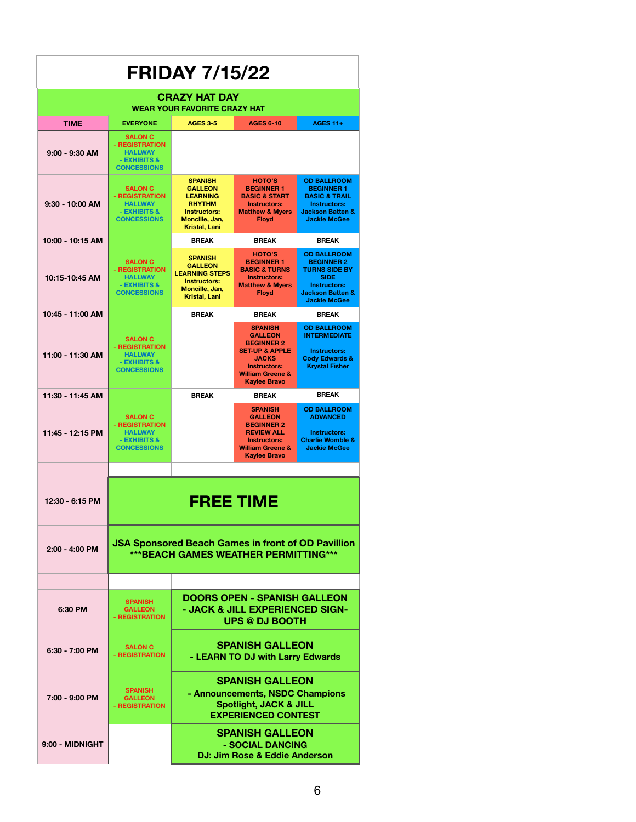| <b>FRIDAY 7/15/22</b>                                       |                                                                                                    |                                                                                                                                |                                                                                                                                                                                 |                                                                                                                                                             |  |
|-------------------------------------------------------------|----------------------------------------------------------------------------------------------------|--------------------------------------------------------------------------------------------------------------------------------|---------------------------------------------------------------------------------------------------------------------------------------------------------------------------------|-------------------------------------------------------------------------------------------------------------------------------------------------------------|--|
| <b>CRAZY HAT DAY</b><br><b>WEAR YOUR FAVORITE CRAZY HAT</b> |                                                                                                    |                                                                                                                                |                                                                                                                                                                                 |                                                                                                                                                             |  |
| <b>TIME</b>                                                 | <b>EVERYONE</b>                                                                                    | <b>AGES 3-5</b>                                                                                                                | <b>AGES 6-10</b>                                                                                                                                                                | <b>AGES 11+</b>                                                                                                                                             |  |
| $9:00 - 9:30$ AM                                            | <b>SALON C</b><br>- REGISTRATION<br><b>HALLWAY</b><br>- EXHIBITS &<br><b>CONCESSIONS</b>           |                                                                                                                                |                                                                                                                                                                                 |                                                                                                                                                             |  |
| $9:30 - 10:00$ AM                                           | <b>SALON C</b><br>- REGISTRATION<br><b>HALLWAY</b><br>- EXHIBITS &<br><b>CONCESSIONS</b>           | <b>SPANISH</b><br><b>GALLEON</b><br><b>LEARNING</b><br><b>RHYTHM</b><br><b>Instructors:</b><br>Moncille, Jan,<br>Kristal, Lani | HOTO'S<br><b>BEGINNER 1</b><br><b>BASIC &amp; START</b><br><b>Instructors:</b><br><b>Matthew &amp; Myers</b><br><b>Floyd</b>                                                    | <b>OD BALLROOM</b><br><b>BEGINNER 1</b><br><b>BASIC &amp; TRAIL</b><br><b>Instructors:</b><br><b>Jackson Batten &amp;</b><br><b>Jackie McGee</b>            |  |
| 10:00 - 10:15 AM                                            |                                                                                                    | <b>BREAK</b>                                                                                                                   | <b>BREAK</b>                                                                                                                                                                    | <b>BREAK</b>                                                                                                                                                |  |
| 10:15-10:45 AM                                              | <b>SALON C</b><br>- REGISTRATION<br><b>HALLWAY</b><br>- EXHIBITS &<br><b>CONCESSIONS</b>           | <b>SPANISH</b><br><b>GALLEON</b><br><b>LEARNING STEPS</b><br><b>Instructors:</b><br>Moncille, Jan,<br>Kristal, Lani            | <b>HOTO'S</b><br><b>BEGINNER 1</b><br><b>BASIC &amp; TURNS</b><br><b>Instructors:</b><br><b>Matthew &amp; Mvers</b><br><b>Floyd</b>                                             | <b>OD BALLROOM</b><br><b>BEGINNER 2</b><br><b>TURNS SIDE BY</b><br><b>SIDE</b><br><b>Instructors:</b><br><b>Jackson Batten &amp;</b><br><b>Jackie McGee</b> |  |
| 10:45 - 11:00 AM                                            |                                                                                                    | <b>BREAK</b>                                                                                                                   | <b>BREAK</b>                                                                                                                                                                    | <b>BREAK</b>                                                                                                                                                |  |
| 11:00 - 11:30 AM                                            | <b>SALON C</b><br>- REGISTRATION<br><b>HALLWAY</b><br>- EXHIBITS &<br><b>CONCESSIONS</b>           |                                                                                                                                | <b>SPANISH</b><br><b>GALLEON</b><br><b>BEGINNER 2</b><br><b>SET-UP &amp; APPLE</b><br><b>JACKS</b><br><b>Instructors:</b><br><b>William Greene &amp;</b><br><b>Kaylee Bravo</b> | <b>OD BALLROOM</b><br><b>INTERMEDIATE</b><br><b>Instructors:</b><br><b>Cody Edwards &amp;</b><br><b>Krystal Fisher</b>                                      |  |
| 11:30 - 11:45 AM                                            |                                                                                                    | <b>BREAK</b>                                                                                                                   | <b>BREAK</b>                                                                                                                                                                    | <b>BREAK</b>                                                                                                                                                |  |
| 11:45 - 12:15 PM                                            | <b>SALON C</b><br>- REGISTRATION<br><b>HALLWAY</b><br>- EXHIBITS &<br><b>CONCESSIONS</b>           |                                                                                                                                | <b>SPANISH</b><br><b>GALLEON</b><br><b>BEGINNER 2</b><br><b>REVIEW ALL</b><br><b>Instructors:</b><br><b>William Greene &amp;</b><br><b>Kaylee Bravo</b>                         | <b>OD BALLROOM</b><br><b>ADVANCED</b><br><b>Instructors:</b><br><b>Charlie Womble &amp;</b><br><b>Jackie McGee</b>                                          |  |
|                                                             |                                                                                                    |                                                                                                                                |                                                                                                                                                                                 |                                                                                                                                                             |  |
| 12:30 - 6:15 PM                                             | <b>FREE TIME</b>                                                                                   |                                                                                                                                |                                                                                                                                                                                 |                                                                                                                                                             |  |
| 2:00 - 4:00 PM                                              | <b>JSA Sponsored Beach Games in front of OD Pavillion</b><br>*** BEACH GAMES WEATHER PERMITTING*** |                                                                                                                                |                                                                                                                                                                                 |                                                                                                                                                             |  |
|                                                             |                                                                                                    |                                                                                                                                |                                                                                                                                                                                 |                                                                                                                                                             |  |
| 6:30 PM                                                     | <b>SPANISH</b><br><b>GALLEON</b><br>- REGISTRATION                                                 | <b>DOORS OPEN - SPANISH GALLEON</b><br>- JACK & JILL EXPERIENCED SIGN-<br><b>UPS @ DJ BOOTH</b>                                |                                                                                                                                                                                 |                                                                                                                                                             |  |
| 6:30 - 7:00 PM                                              | <b>SALON C</b><br>- REGISTRATION                                                                   | <b>SPANISH GALLEON</b><br>- LEARN TO DJ with Larry Edwards                                                                     |                                                                                                                                                                                 |                                                                                                                                                             |  |
| 7:00 - 9:00 PM                                              | <b>SPANISH</b><br><b>GALLEON</b><br>- REGISTRATION                                                 | <b>SPANISH GALLEON</b><br>- Announcements, NSDC Champions<br><b>Spotlight, JACK &amp; JILL</b><br><b>EXPERIENCED CONTEST</b>   |                                                                                                                                                                                 |                                                                                                                                                             |  |
| 9:00 - MIDNIGHT                                             |                                                                                                    | <b>SPANISH GALLEON</b><br>- SOCIAL DANCING<br>DJ: Jim Rose & Eddie Anderson                                                    |                                                                                                                                                                                 |                                                                                                                                                             |  |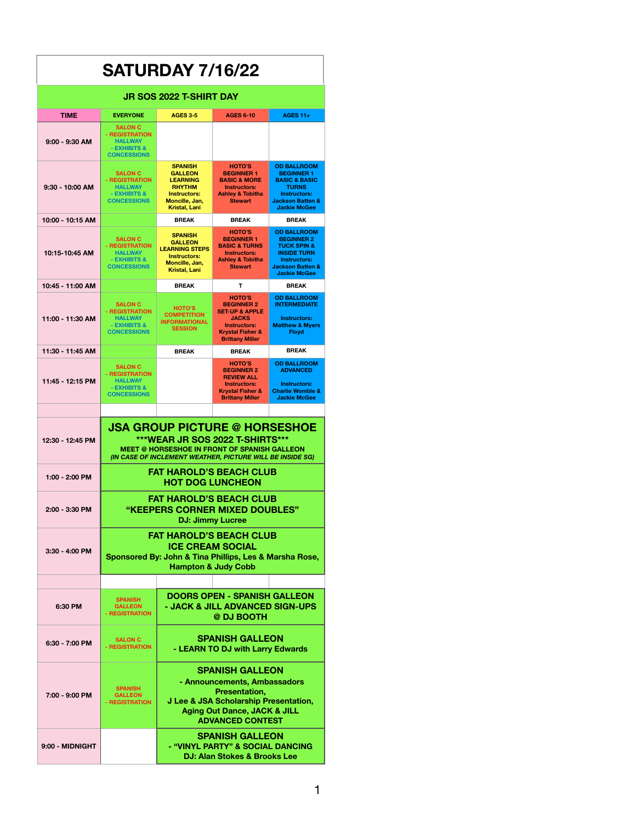| <b>SATURDAY 7/16/22</b>                                                                  |                                                                                                                                                                                             |                                                                                                                                                                                        |                                                                                                                                                                 |                                                                                                                                                               |  |
|------------------------------------------------------------------------------------------|---------------------------------------------------------------------------------------------------------------------------------------------------------------------------------------------|----------------------------------------------------------------------------------------------------------------------------------------------------------------------------------------|-----------------------------------------------------------------------------------------------------------------------------------------------------------------|---------------------------------------------------------------------------------------------------------------------------------------------------------------|--|
| <b>JR SOS 2022 T-SHIRT DAY</b>                                                           |                                                                                                                                                                                             |                                                                                                                                                                                        |                                                                                                                                                                 |                                                                                                                                                               |  |
| <b>TIME</b><br><b>EVERYONE</b><br><b>AGES 3-5</b><br><b>AGES 6-10</b><br><b>AGES 11+</b> |                                                                                                                                                                                             |                                                                                                                                                                                        |                                                                                                                                                                 |                                                                                                                                                               |  |
| 9:00 - 9:30 AM                                                                           | <b>SALON C</b><br>- REGISTRATION<br><b>HALLWAY</b><br>- EXHIBITS &<br><b>CONCESSIONS</b>                                                                                                    |                                                                                                                                                                                        |                                                                                                                                                                 |                                                                                                                                                               |  |
| $9:30 - 10:00$ AM                                                                        | <b>SALON C</b><br>- REGISTRATION<br><b>HALLWAY</b><br>- EXHIBITS &<br><b>CONCESSIONS</b>                                                                                                    | <b>SPANISH</b><br><b>GALLEON</b><br><b>LEARNING</b><br><b>RHYTHM</b><br><b>Instructors:</b><br>Moncille, Jan,<br>Kristal, Lani                                                         | <b>HOTO'S</b><br><b>BEGINNER 1</b><br><b>BASIC &amp; MORE</b><br><b>Instructors:</b><br><b>Ashley &amp; Tobitha</b><br><b>Stewart</b>                           | <b>OD BALLROOM</b><br><b>BEGINNER 1</b><br><b>BASIC &amp; BASIC</b><br><b>TURNS</b><br>Instructors:<br><b>Jackson Batten &amp;</b><br><b>Jackie McGee</b>     |  |
| 10:00 - 10:15 AM                                                                         |                                                                                                                                                                                             | <b>BREAK</b>                                                                                                                                                                           | <b>BREAK</b>                                                                                                                                                    | <b>BREAK</b>                                                                                                                                                  |  |
| 10:15-10:45 AM                                                                           | <b>SALON C</b><br>- REGISTRATION<br><b>HALLWAY</b><br>- EXHIBITS &<br><b>CONCESSIONS</b>                                                                                                    | <b>SPANISH</b><br><b>GALLEON</b><br><b>LEARNING STEPS</b><br><b>Instructors:</b><br>Moncille, Jan,<br><b>Kristal, Lani</b>                                                             | <b>HOTO'S</b><br><b>BEGINNER 1</b><br><b>BASIC &amp; TURNS</b><br><b>Instructors:</b><br><b>Ashley &amp; Tobitha</b><br><b>Stewart</b>                          | <b>OD BALLROOM</b><br><b>BEGINNER 2</b><br><b>TUCK SPIN &amp;</b><br><b>INSIDE TURN</b><br>Instructors:<br><b>Jackson Batten &amp;</b><br><b>Jackie McGee</b> |  |
| 10:45 - 11:00 AM                                                                         |                                                                                                                                                                                             | <b>BREAK</b>                                                                                                                                                                           | T                                                                                                                                                               | <b>BREAK</b>                                                                                                                                                  |  |
| 11:00 - 11:30 AM                                                                         | <b>SALON C</b><br>- REGISTRATION<br><b>HALLWAY</b><br>- EXHIBITS &<br><b>CONCESSIONS</b>                                                                                                    | <b>HOTO'S</b><br><b>COMPETITION</b><br><b>INFORMATIONAL</b><br><b>SESSION</b>                                                                                                          | <b>HOTO'S</b><br><b>BEGINNER 2</b><br><b>SET-UP &amp; APPLE</b><br><b>JACKS</b><br><b>Instructors:</b><br><b>Krystal Fisher &amp;</b><br><b>Brittany Miller</b> | <b>OD BALLROOM</b><br><b>INTERMEDIATE</b><br>Instructors:<br><b>Matthew &amp; Myers</b><br><b>Floyd</b>                                                       |  |
| 11:30 - 11:45 AM                                                                         |                                                                                                                                                                                             | <b>BREAK</b>                                                                                                                                                                           | <b>BREAK</b>                                                                                                                                                    | <b>BREAK</b>                                                                                                                                                  |  |
| 11:45 - 12:15 PM                                                                         | <b>SALON C</b><br>- REGISTRATION<br><b>HALLWAY</b><br>- EXHIBITS &<br><b>CONCESSIONS</b>                                                                                                    |                                                                                                                                                                                        | HOTO'S<br><b>BEGINNER 2</b><br><b>REVIEW ALL</b><br><b>Instructors:</b><br><b>Krystal Fisher &amp;</b><br><b>Brittany Miller</b>                                | <b>OD BALLROOM</b><br><b>ADVANCED</b><br>Instructors:<br><b>Charlie Womble &amp;</b><br><b>Jackie McGee</b>                                                   |  |
| 12:30 - 12:45 PM                                                                         | <b>JSA GROUP PICTURE @ HORSESHOE</b><br>***WEAR JR SOS 2022 T-SHIRTS***<br><b>MEET @ HORSESHOE IN FRONT OF SPANISH GALLEON</b><br>(IN CASE OF INCLEMENT WEATHER, PICTURE WILL BE INSIDE SG) |                                                                                                                                                                                        |                                                                                                                                                                 |                                                                                                                                                               |  |
| 1:00 - 2:00 PM                                                                           | <b>FAT HAROLD'S BEACH CLUB</b><br><b>HOT DOG LUNCHEON</b>                                                                                                                                   |                                                                                                                                                                                        |                                                                                                                                                                 |                                                                                                                                                               |  |
| 2:00 - 3:30 PM                                                                           | <b>FAT HAROLD'S BEACH CLUB</b><br>"KEEPERS CORNER MIXED DOUBLES"<br><b>DJ: Jimmy Lucree</b>                                                                                                 |                                                                                                                                                                                        |                                                                                                                                                                 |                                                                                                                                                               |  |
| 3:30 - 4:00 PM                                                                           | <b>FAT HAROLD'S BEACH CLUB</b><br><b>ICE CREAM SOCIAL</b><br>Sponsored By: John & Tina Phillips, Les & Marsha Rose,<br><b>Hampton &amp; Judy Cobb</b>                                       |                                                                                                                                                                                        |                                                                                                                                                                 |                                                                                                                                                               |  |
|                                                                                          |                                                                                                                                                                                             |                                                                                                                                                                                        |                                                                                                                                                                 |                                                                                                                                                               |  |
| 6:30 PM                                                                                  | <b>SPANISH</b><br><b>GALLEON</b><br>- REGISTRATION                                                                                                                                          | <b>DOORS OPEN - SPANISH GALLEON</b><br>- JACK & JILL ADVANCED SIGN-UPS<br>@ DJ BOOTH                                                                                                   |                                                                                                                                                                 |                                                                                                                                                               |  |
| 6:30 - 7:00 PM                                                                           | <b>SALON C</b><br>- REGISTRATION                                                                                                                                                            | <b>SPANISH GALLEON</b><br>- LEARN TO DJ with Larry Edwards                                                                                                                             |                                                                                                                                                                 |                                                                                                                                                               |  |
| 7:00 - 9:00 PM                                                                           | <b>SPANISH</b><br><b>GALLEON</b><br>- REGISTRATION                                                                                                                                          | <b>SPANISH GALLEON</b><br>- Announcements, Ambassadors<br>Presentation,<br>J Lee & JSA Scholarship Presentation,<br><b>Aging Out Dance, JACK &amp; JILL</b><br><b>ADVANCED CONTEST</b> |                                                                                                                                                                 |                                                                                                                                                               |  |
| 9:00 - MIDNIGHT                                                                          |                                                                                                                                                                                             | <b>SPANISH GALLEON</b><br>- "VINYL PARTY" & SOCIAL DANCING<br>DJ: Alan Stokes & Brooks Lee                                                                                             |                                                                                                                                                                 |                                                                                                                                                               |  |